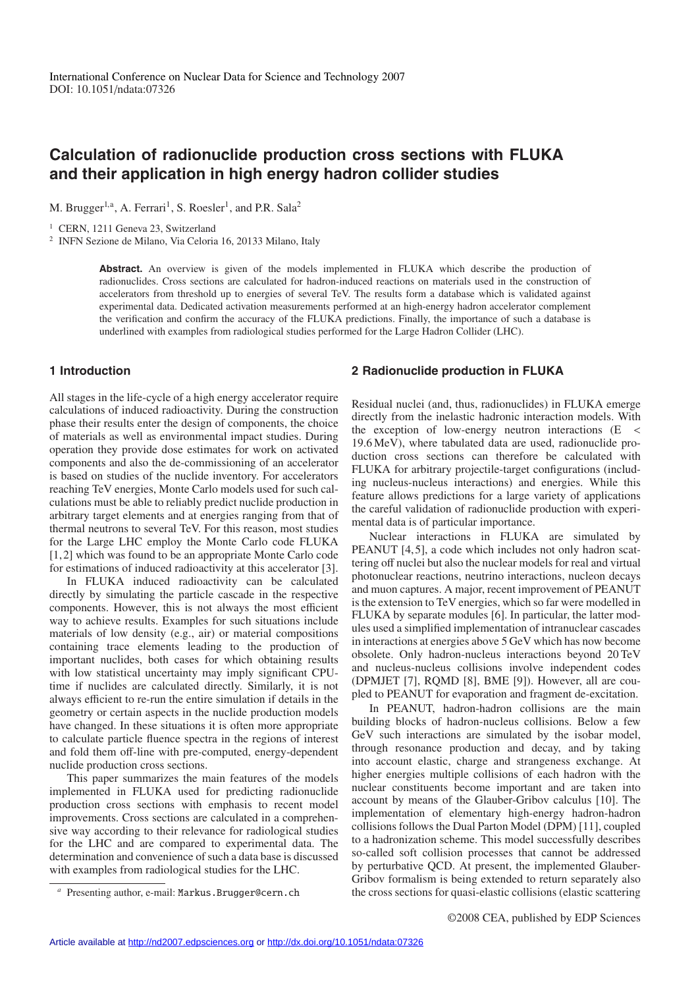# **Calculation of radionuclide production cross sections with FLUKA and their application in high energy hadron collider studies**

M. Brugger<sup>1,a</sup>, A. Ferrari<sup>1</sup>, S. Roesler<sup>1</sup>, and P.R. Sala<sup>2</sup>

<sup>1</sup> CERN, 1211 Geneva 23, Switzerland

<sup>2</sup> INFN Sezione de Milano, Via Celoria 16, 20133 Milano, Italy

Abstract. An overview is given of the models implemented in FLUKA which describe the production of radionuclides. Cross sections are calculated for hadron-induced reactions on materials used in the construction of accelerators from threshold up to energies of several TeV. The results form a database which is validated against experimental data. Dedicated activation measurements performed at an high-energy hadron accelerator complement the verification and confirm the accuracy of the FLUKA predictions. Finally, the importance of such a database is underlined with examples from radiological studies performed for the Large Hadron Collider (LHC).

### **1 Introduction**

All stages in the life-cycle of a high energy accelerator require calculations of induced radioactivity. During the construction phase their results enter the design of components, the choice of materials as well as environmental impact studies. During operation they provide dose estimates for work on activated components and also the de-commissioning of an accelerator is based on studies of the nuclide inventory. For accelerators reaching TeV energies, Monte Carlo models used for such calculations must be able to reliably predict nuclide production in arbitrary target elements and at energies ranging from that of thermal neutrons to several TeV. For this reason, most studies for the Large LHC employ the Monte Carlo code FLUKA [1, 2] which was found to be an appropriate Monte Carlo code for estimations of induced radioactivity at this accelerator [3].

In FLUKA induced radioactivity can be calculated directly by simulating the particle cascade in the respective components. However, this is not always the most efficient way to achieve results. Examples for such situations include materials of low density (e.g., air) or material compositions containing trace elements leading to the production of important nuclides, both cases for which obtaining results with low statistical uncertainty may imply significant CPUtime if nuclides are calculated directly. Similarly, it is not always efficient to re-run the entire simulation if details in the geometry or certain aspects in the nuclide production models have changed. In these situations it is often more appropriate to calculate particle fluence spectra in the regions of interest and fold them off-line with pre-computed, energy-dependent nuclide production cross sections.

This paper summarizes the main features of the models implemented in FLUKA used for predicting radionuclide production cross sections with emphasis to recent model improvements. Cross sections are calculated in a comprehensive way according to their relevance for radiological studies for the LHC and are compared to experimental data. The determination and convenience of such a data base is discussed with examples from radiological studies for the LHC.

#### **2 Radionuclide production in FLUKA**

Residual nuclei (and, thus, radionuclides) in FLUKA emerge directly from the inelastic hadronic interaction models. With the exception of low-energy neutron interactions  $(E <$ 19.6 MeV), where tabulated data are used, radionuclide production cross sections can therefore be calculated with FLUKA for arbitrary projectile-target configurations (including nucleus-nucleus interactions) and energies. While this feature allows predictions for a large variety of applications the careful validation of radionuclide production with experimental data is of particular importance.

Nuclear interactions in FLUKA are simulated by PEANUT [4, 5], a code which includes not only hadron scattering off nuclei but also the nuclear models for real and virtual photonuclear reactions, neutrino interactions, nucleon decays and muon captures. A major, recent improvement of PEANUT is the extension to TeV energies, which so far were modelled in FLUKA by separate modules [6]. In particular, the latter modules used a simplified implementation of intranuclear cascades in interactions at energies above 5 GeV which has now become obsolete. Only hadron-nucleus interactions beyond 20 TeV and nucleus-nucleus collisions involve independent codes (DPMJET [7], RQMD [8], BME [9]). However, all are coupled to PEANUT for evaporation and fragment de-excitation.

In PEANUT, hadron-hadron collisions are the main building blocks of hadron-nucleus collisions. Below a few GeV such interactions are simulated by the isobar model, through resonance production and decay, and by taking into account elastic, charge and strangeness exchange. At higher energies multiple collisions of each hadron with the nuclear constituents become important and are taken into account by means of the Glauber-Gribov calculus [10]. The implementation of elementary high-energy hadron-hadron collisions follows the Dual Parton Model (DPM) [11], coupled to a hadronization scheme. This model successfully describes so-called soft collision processes that cannot be addressed by perturbative QCD. At present, the implemented Glauber-Gribov formalism is being extended to return separately also the cross sections for quasi-elastic collisions (elastic scattering

Presenting author, e-mail: Markus.Brugger@cern.ch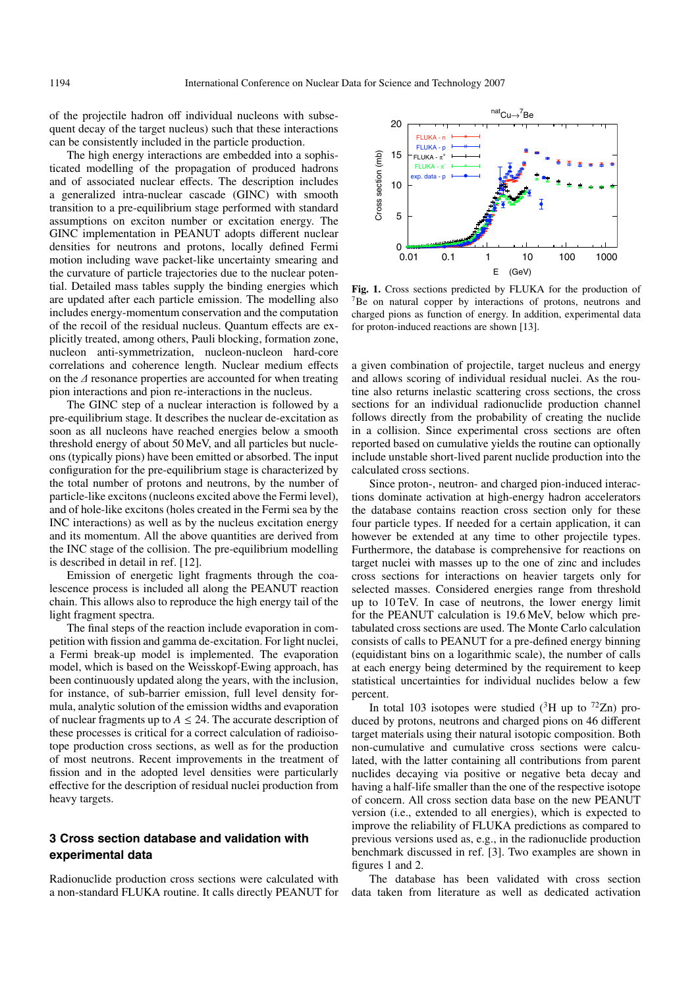of the projectile hadron off individual nucleons with subsequent decay of the target nucleus) such that these interactions can be consistently included in the particle production.

The high energy interactions are embedded into a sophisticated modelling of the propagation of produced hadrons and of associated nuclear effects. The description includes a generalized intra-nuclear cascade (GINC) with smooth transition to a pre-equilibrium stage performed with standard assumptions on exciton number or excitation energy. The GINC implementation in PEANUT adopts different nuclear densities for neutrons and protons, locally defined Fermi motion including wave packet-like uncertainty smearing and the curvature of particle trajectories due to the nuclear potential. Detailed mass tables supply the binding energies which are updated after each particle emission. The modelling also includes energy-momentum conservation and the computation of the recoil of the residual nucleus. Quantum effects are explicitly treated, among others, Pauli blocking, formation zone, nucleon anti-symmetrization, nucleon-nucleon hard-core correlations and coherence length. Nuclear medium effects on the ∆ resonance properties are accounted for when treating pion interactions and pion re-interactions in the nucleus.

The GINC step of a nuclear interaction is followed by a pre-equilibrium stage. It describes the nuclear de-excitation as soon as all nucleons have reached energies below a smooth threshold energy of about 50 MeV, and all particles but nucleons (typically pions) have been emitted or absorbed. The input configuration for the pre-equilibrium stage is characterized by the total number of protons and neutrons, by the number of particle-like excitons (nucleons excited above the Fermi level), and of hole-like excitons (holes created in the Fermi sea by the INC interactions) as well as by the nucleus excitation energy and its momentum. All the above quantities are derived from the INC stage of the collision. The pre-equilibrium modelling is described in detail in ref. [12].

Emission of energetic light fragments through the coalescence process is included all along the PEANUT reaction chain. This allows also to reproduce the high energy tail of the light fragment spectra.

The final steps of the reaction include evaporation in competition with fission and gamma de-excitation. For light nuclei, a Fermi break-up model is implemented. The evaporation model, which is based on the Weisskopf-Ewing approach, has been continuously updated along the years, with the inclusion, for instance, of sub-barrier emission, full level density formula, analytic solution of the emission widths and evaporation of nuclear fragments up to  $A \leq 24$ . The accurate description of these processes is critical for a correct calculation of radioisotope production cross sections, as well as for the production of most neutrons. Recent improvements in the treatment of fission and in the adopted level densities were particularly effective for the description of residual nuclei production from heavy targets.

# **3 Cross section database and validation with experimental data**

Radionuclide production cross sections were calculated with a non-standard FLUKA routine. It calls directly PEANUT for



**Fig. 1.** Cross sections predicted by FLUKA for the production of <sup>7</sup>Be on natural copper by interactions of protons, neutrons and charged pions as function of energy. In addition, experimental data for proton-induced reactions are shown [13].

a given combination of projectile, target nucleus and energy and allows scoring of individual residual nuclei. As the routine also returns inelastic scattering cross sections, the cross sections for an individual radionuclide production channel follows directly from the probability of creating the nuclide in a collision. Since experimental cross sections are often reported based on cumulative yields the routine can optionally include unstable short-lived parent nuclide production into the calculated cross sections.

Since proton-, neutron- and charged pion-induced interactions dominate activation at high-energy hadron accelerators the database contains reaction cross section only for these four particle types. If needed for a certain application, it can however be extended at any time to other projectile types. Furthermore, the database is comprehensive for reactions on target nuclei with masses up to the one of zinc and includes cross sections for interactions on heavier targets only for selected masses. Considered energies range from threshold up to 10 TeV. In case of neutrons, the lower energy limit for the PEANUT calculation is 19.6 MeV, below which pretabulated cross sections are used. The Monte Carlo calculation consists of calls to PEANUT for a pre-defined energy binning (equidistant bins on a logarithmic scale), the number of calls at each energy being determined by the requirement to keep statistical uncertainties for individual nuclides below a few percent.

In total 103 isotopes were studied  $({}^{3}H$  up to  $^{72}Zn$ ) produced by protons, neutrons and charged pions on 46 different target materials using their natural isotopic composition. Both non-cumulative and cumulative cross sections were calculated, with the latter containing all contributions from parent nuclides decaying via positive or negative beta decay and having a half-life smaller than the one of the respective isotope of concern. All cross section data base on the new PEANUT version (i.e., extended to all energies), which is expected to improve the reliability of FLUKA predictions as compared to previous versions used as, e.g., in the radionuclide production benchmark discussed in ref. [3]. Two examples are shown in figures 1 and 2.

The database has been validated with cross section data taken from literature as well as dedicated activation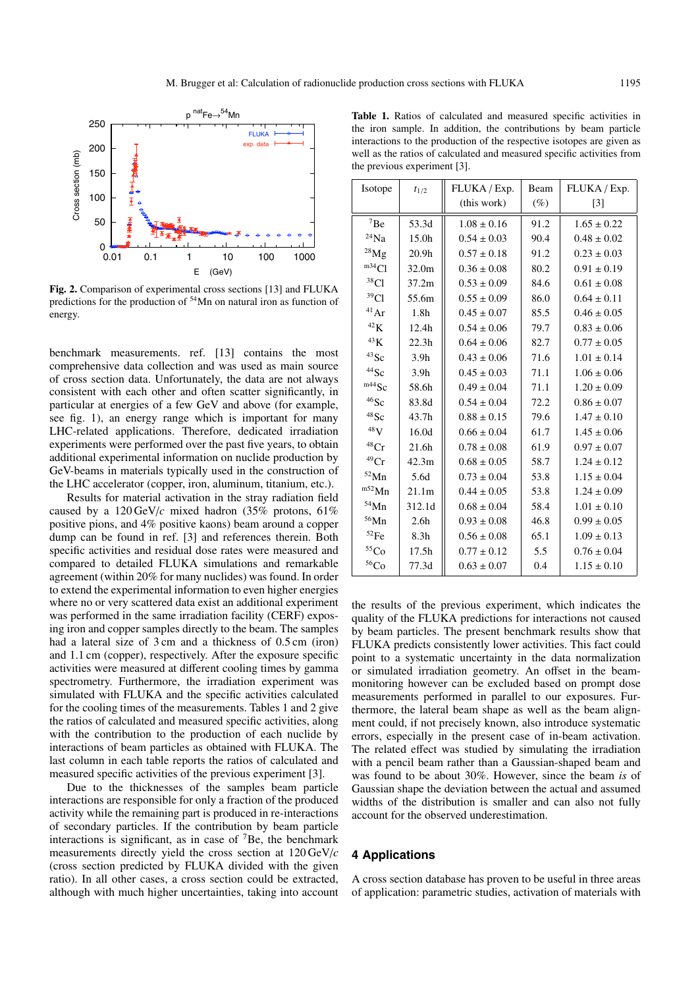

 $0 \frac{1}{0.01}$  0.01 0.1 1 10 100 1000 E (GeV) **Fig. 2.** Comparison of experimental cross sections [13] and FLUKA predictions for the production of 54Mn on natural iron as function of

50

100

150

Cross section (mb)

energy.

200

250

benchmark measurements. ref. [13] contains the most comprehensive data collection and was used as main source of cross section data. Unfortunately, the data are not always consistent with each other and often scatter significantly, in particular at energies of a few GeV and above (for example, see fig. 1), an energy range which is important for many LHC-related applications. Therefore, dedicated irradiation experiments were performed over the past five years, to obtain additional experimental information on nuclide production by GeV-beams in materials typically used in the construction of the LHC accelerator (copper, iron, aluminum, titanium, etc.).

Results for material activation in the stray radiation field caused by a  $120 \,\text{GeV}/c$  mixed hadron (35% protons, 61%) positive pions, and 4% positive kaons) beam around a copper dump can be found in ref. [3] and references therein. Both specific activities and residual dose rates were measured and compared to detailed FLUKA simulations and remarkable agreement (within 20% for many nuclides) was found. In order to extend the experimental information to even higher energies where no or very scattered data exist an additional experiment was performed in the same irradiation facility (CERF) exposing iron and copper samples directly to the beam. The samples had a lateral size of 3 cm and a thickness of 0.5 cm (iron) and 1.1 cm (copper), respectively. After the exposure specific activities were measured at different cooling times by gamma spectrometry. Furthermore, the irradiation experiment was simulated with FLUKA and the specific activities calculated for the cooling times of the measurements. Tables 1 and 2 give the ratios of calculated and measured specific activities, along with the contribution to the production of each nuclide by interactions of beam particles as obtained with FLUKA. The last column in each table reports the ratios of calculated and measured specific activities of the previous experiment [3].

Due to the thicknesses of the samples beam particle interactions are responsible for only a fraction of the produced activity while the remaining part is produced in re-interactions of secondary particles. If the contribution by beam particle interactions is significant, as in case of  $\mathrm{^{7}Be}$ , the benchmark measurements directly yield the cross section at 120 GeV/*c* (cross section predicted by FLUKA divided with the given ratio). In all other cases, a cross section could be extracted, although with much higher uncertainties, taking into account

| <b>Table 1.</b> Ratios of calculated and measured specific activities in |
|--------------------------------------------------------------------------|
| the iron sample. In addition, the contributions by beam particle         |
| interactions to the production of the respective isotopes are given as   |
| well as the ratios of calculated and measured specific activities from   |
| the previous experiment [3].                                             |
|                                                                          |

| Isotope            | $t_{1/2}$         | FLUKA / Exp.    | Beam   | FLUKA / Exp.      |
|--------------------|-------------------|-----------------|--------|-------------------|
|                    |                   | (this work)     | $(\%)$ | $\lceil 3 \rceil$ |
| 7Be                | 53.3d             | $1.08 \pm 0.16$ | 91.2   | $1.65 \pm 0.22$   |
| $^{24}{\rm Na}$    | 15.0h             | $0.54 \pm 0.03$ | 90.4   | $0.48 \pm 0.02$   |
| $^{28}Mg$          | 20.9 <sub>h</sub> | $0.57 \pm 0.18$ | 91.2   | $0.23 \pm 0.03$   |
| m34Cl              | 32.0m             | $0.36 \pm 0.08$ | 80.2   | $0.91 \pm 0.19$   |
| 38 <sub>Cl</sub>   | 37.2m             | $0.53 \pm 0.09$ | 84.6   | $0.61 \pm 0.08$   |
| 39 <sub>Cl</sub>   | 55.6m             | $0.55 \pm 0.09$ | 86.0   | $0.64 \pm 0.11$   |
| 41Ar               | 1.8 <sub>h</sub>  | $0.45 \pm 0.07$ | 85.5   | $0.46 \pm 0.05$   |
| $^{42}{\rm K}$     | 12.4h             | $0.54 \pm 0.06$ | 79.7   | $0.83 \pm 0.06$   |
| $^{43}{\rm K}$     | 22.3 <sub>h</sub> | $0.64 \pm 0.06$ | 82.7   | $0.77 \pm 0.05$   |
| $43$ Sc            | 3.9 <sub>h</sub>  | $0.43 \pm 0.06$ | 71.6   | $1.01 \pm 0.14$   |
| $44$ Sc            | 3.9 <sub>h</sub>  | $0.45 \pm 0.03$ | 71.1   | $1.06 \pm 0.06$   |
| $m44$ Sc           | 58.6h             | $0.49 \pm 0.04$ | 71.1   | $1.20 \pm 0.09$   |
| $46$ Sc            | 83.8d             | $0.54 \pm 0.04$ | 72.2   | $0.86 \pm 0.07$   |
| $48$ Sc            | 43.7h             | $0.88 \pm 0.15$ | 79.6   | $1.47 \pm 0.10$   |
| $^{48}{\rm V}$     | 16.0d             | $0.66 \pm 0.04$ | 61.7   | $1.45 \pm 0.06$   |
| 48Cr               | 21.6h             | $0.78 \pm 0.08$ | 61.9   | $0.97 \pm 0.07$   |
| $49$ Cr            | 42.3m             | $0.68 \pm 0.05$ | 58.7   | $1.24 \pm 0.12$   |
| $^{52}{\rm Mn}$    | 5.6d              | $0.73 \pm 0.04$ | 53.8   | $1.15 \pm 0.04$   |
| $m52$ Mn           | 21.1m             | $0.44 \pm 0.05$ | 53.8   | $1.24 \pm 0.09$   |
| $^{54}{\rm Mn}$    | 312.1d            | $0.68 \pm 0.04$ | 58.4   | $1.01 \pm 0.10$   |
| $56$ Mn            | 2.6 <sub>h</sub>  | $0.93 \pm 0.08$ | 46.8   | $0.99 \pm 0.05$   |
| $^{52}\mathrm{Fe}$ | 8.3 <sub>h</sub>  | $0.56 \pm 0.08$ | 65.1   | $1.09 \pm 0.13$   |
| $^{55}\mathrm{Co}$ | 17.5 <sub>h</sub> | $0.77 \pm 0.12$ | 5.5    | $0.76 \pm 0.04$   |
| $^{56}\mathrm{Co}$ | 77.3d             | $0.63 \pm 0.07$ | 0.4    | $1.15 \pm 0.10$   |

the results of the previous experiment, which indicates the quality of the FLUKA predictions for interactions not caused by beam particles. The present benchmark results show that FLUKA predicts consistently lower activities. This fact could point to a systematic uncertainty in the data normalization or simulated irradiation geometry. An offset in the beammonitoring however can be excluded based on prompt dose measurements performed in parallel to our exposures. Furthermore, the lateral beam shape as well as the beam alignment could, if not precisely known, also introduce systematic errors, especially in the present case of in-beam activation. The related effect was studied by simulating the irradiation with a pencil beam rather than a Gaussian-shaped beam and was found to be about 30%. However, since the beam *is* of Gaussian shape the deviation between the actual and assumed widths of the distribution is smaller and can also not fully account for the observed underestimation.

### **4 Applications**

A cross section database has proven to be useful in three areas of application: parametric studies, activation of materials with